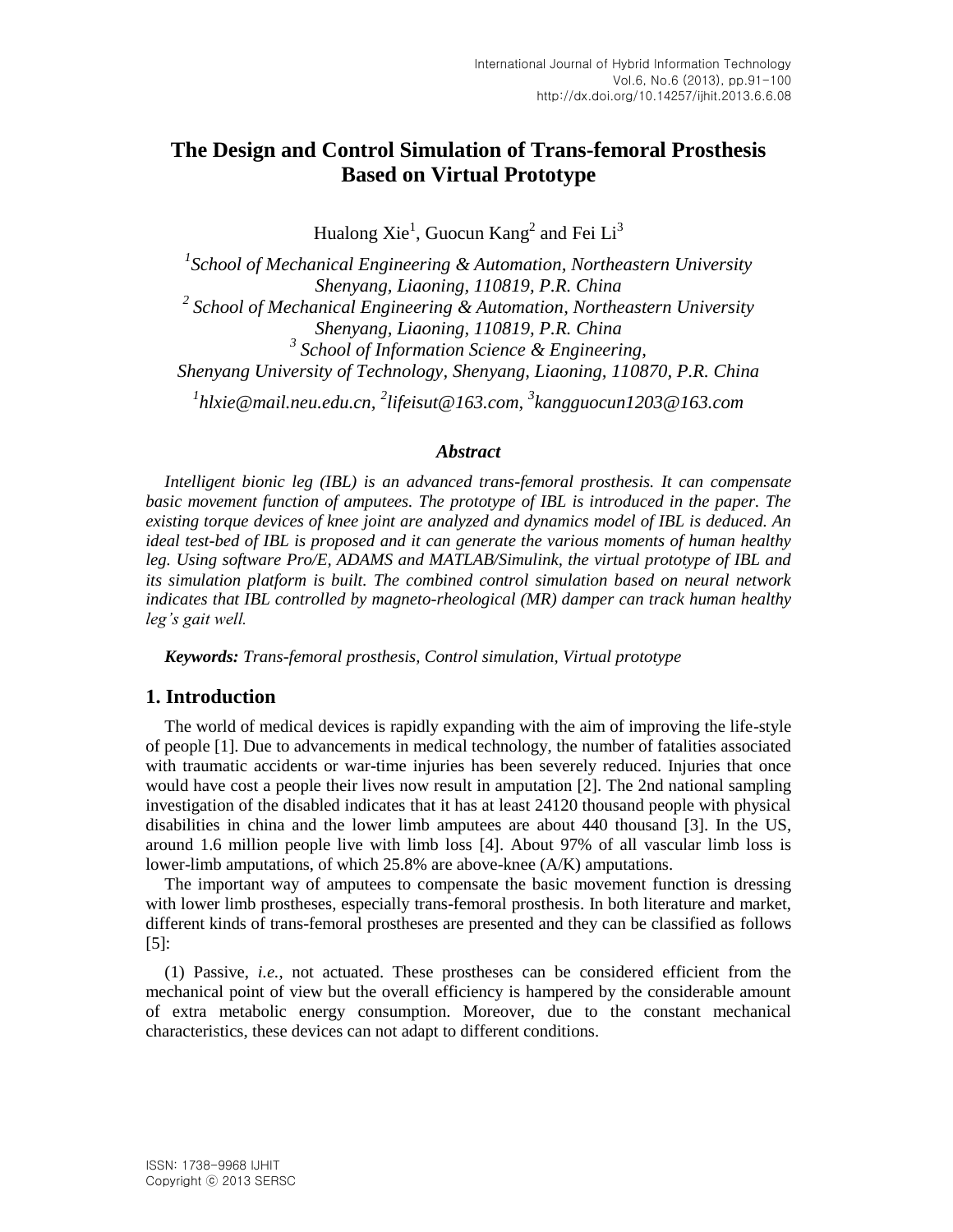# **The Design and Control Simulation of Trans-femoral Prosthesis Based on Virtual Prototype**

Hualong Xie<sup>1</sup>, Guocun Kang<sup>2</sup> and Fei Li<sup>3</sup>

*1 School of Mechanical Engineering & Automation, Northeastern University Shenyang, Liaoning, 110819, P.R. China 2 School of Mechanical Engineering & Automation, Northeastern University Shenyang, Liaoning, 110819, P.R. China 3 School of Information Science & Engineering, Shenyang University of Technology, Shenyang, Liaoning, 110870, P.R. China 1 hlxie@mail.neu.edu.cn, 2 lifeisut@163.com, 3 kangguocun1203@163.com*

#### *Abstract*

*Intelligent bionic leg (IBL) is an advanced trans-femoral prosthesis. It can compensate basic movement function of amputees. The prototype of IBL is introduced in the paper. The existing torque devices of knee joint are analyzed and dynamics model of IBL is deduced. An ideal test-bed of IBL is proposed and it can generate the various moments of human healthy leg. Using software Pro/E, ADAMS and MATLAB/Simulink, the virtual prototype of IBL and its simulation platform is built. The combined control simulation based on neural network indicates that IBL controlled by magneto-rheological (MR) damper can track human healthy leg's gait well.*

*Keywords: Trans-femoral prosthesis, Control simulation, Virtual prototype*

### **1. Introduction**

The world of medical devices is rapidly expanding with the aim of improving the life-style of people [1]. Due to advancements in medical technology, the number of fatalities associated with traumatic accidents or war-time injuries has been severely reduced. Injuries that once would have cost a people their lives now result in amputation [2]. The 2nd national sampling investigation of the disabled indicates that it has at least 24120 thousand people with physical disabilities in china and the lower limb amputees are about 440 thousand [3]. In the US, around 1.6 million people live with limb loss [4]. About 97% of all vascular limb loss is lower-limb amputations, of which 25.8% are above-knee (A/K) amputations.

The important way of amputees to compensate the basic movement function is dressing with lower limb prostheses, especially trans-femoral prosthesis. In both literature and market, different kinds of trans-femoral prostheses are presented and they can be classified as follows  $[5]$ :

(1) Passive, *i.e.*, not actuated. These prostheses can be considered efficient from the mechanical point of view but the overall efficiency is hampered by the considerable amount of extra metabolic energy consumption. Moreover, due to the constant mechanical characteristics, these devices can not adapt to different conditions.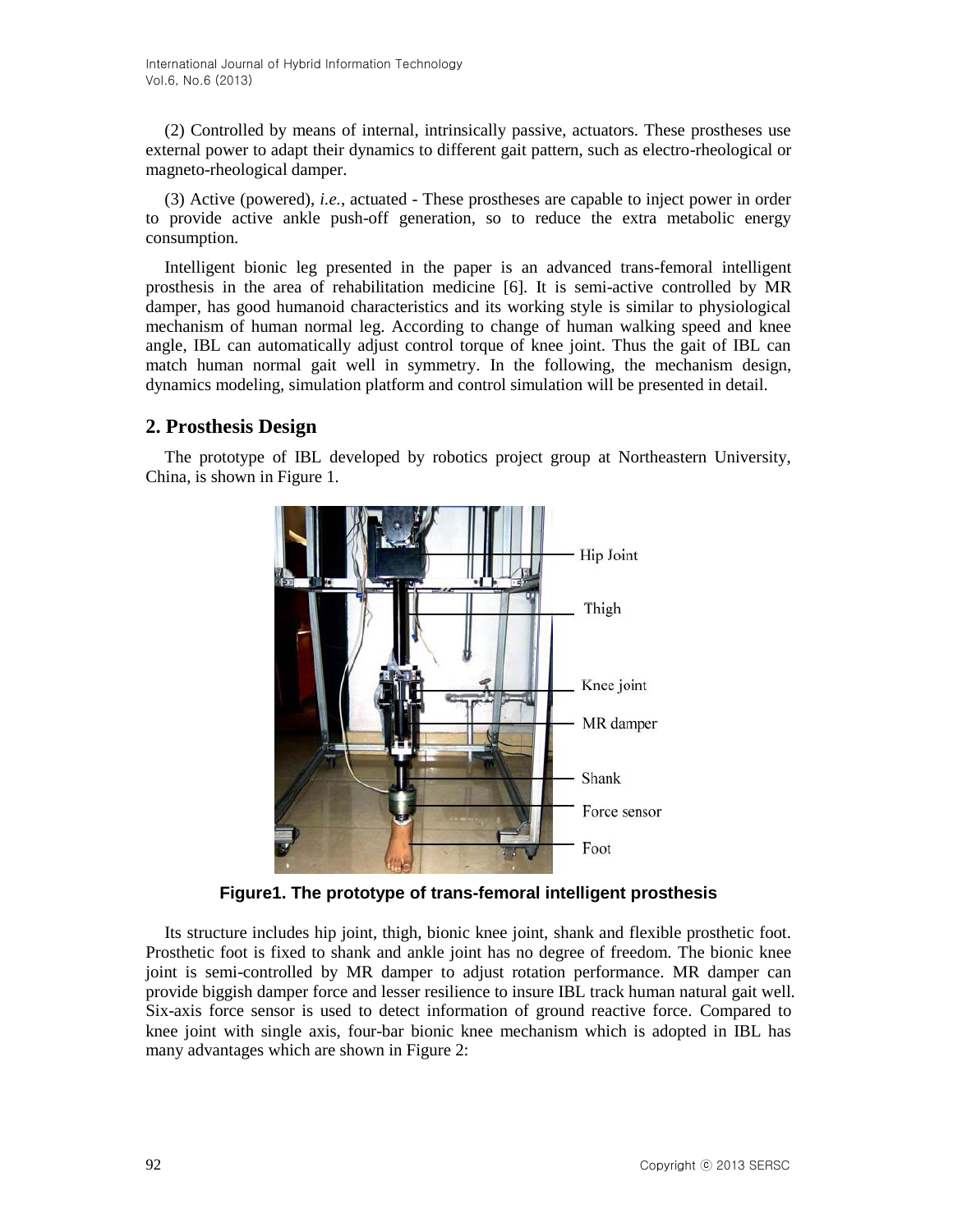(2) Controlled by means of internal, intrinsically passive, actuators. These prostheses use external power to adapt their dynamics to different gait pattern, such as electro-rheological or magneto-rheological damper.

(3) Active (powered), *i.e.*, actuated - These prostheses are capable to inject power in order to provide active ankle push-off generation, so to reduce the extra metabolic energy consumption.

Intelligent bionic leg presented in the paper is an advanced trans-femoral intelligent prosthesis in the area of rehabilitation medicine [6]. It is semi-active controlled by MR damper, has good humanoid characteristics and its working style is similar to physiological mechanism of human normal leg. According to change of human walking speed and knee angle, IBL can automatically adjust control torque of knee joint. Thus the gait of IBL can match human normal gait well in symmetry. In the following, the mechanism design, dynamics modeling, simulation platform and control simulation will be presented in detail.

### **2. Prosthesis Design**

The prototype of IBL developed by robotics project group at Northeastern University, China, is shown in Figure 1.



**Figure1. The prototype of trans-femoral intelligent prosthesis**

Its structure includes hip joint, thigh, bionic knee joint, shank and flexible prosthetic foot. Prosthetic foot is fixed to shank and ankle joint has no degree of freedom. The bionic knee joint is semi-controlled by MR damper to adjust rotation performance. MR damper can provide biggish damper force and lesser resilience to insure IBL track human natural gait well. Six-axis force sensor is used to detect information of ground reactive force. Compared to knee joint with single axis, four-bar bionic knee mechanism which is adopted in IBL has many advantages which are shown in Figure 2: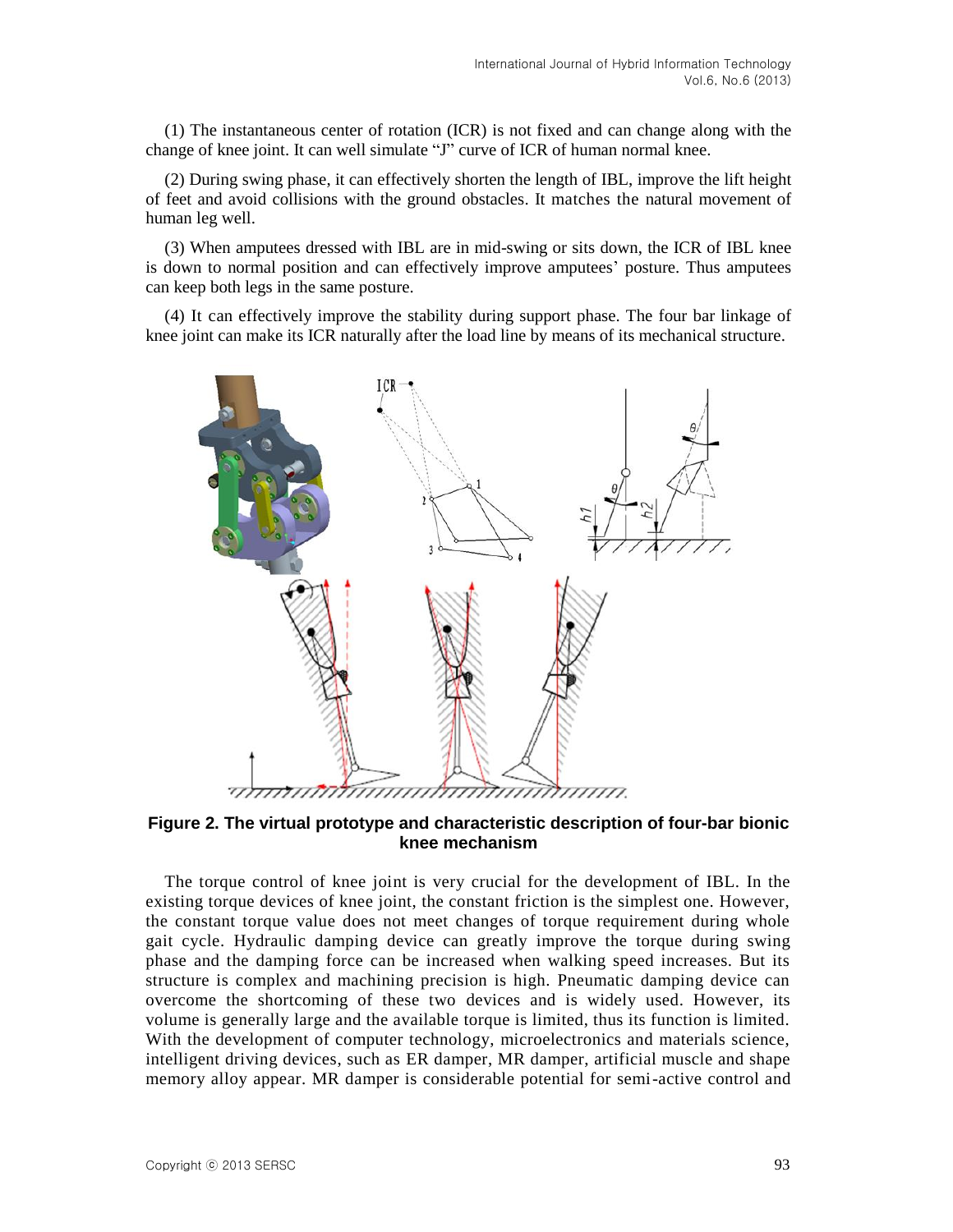(1) The instantaneous center of rotation (ICR) is not fixed and can change along with the change of knee joint. It can well simulate "J" curve of ICR of human normal knee.

(2) During swing phase, it can effectively shorten the length of IBL, improve the lift height of feet and avoid collisions with the ground obstacles. It matches the natural movement of human leg well.

(3) When amputees dressed with IBL are in mid-swing or sits down, the ICR of IBL knee is down to normal position and can effectively improve amputees' posture. Thus amputees can keep both legs in the same posture.

(4) It can effectively improve the stability during support phase. The four bar linkage of knee joint can make its ICR naturally after the load line by means of its mechanical structure.



**Figure 2. The virtual prototype and characteristic description of four-bar bionic knee mechanism** 

The torque control of knee joint is very crucial for the development of IBL. In the existing torque devices of knee joint, the constant friction is the simplest one. However, the constant torque value does not meet changes of torque requirement during whole gait cycle. Hydraulic damping device can greatly improve the torque during swing phase and the damping force can be increased when walking speed increases. But its structure is complex and machining precision is high. Pneumatic damping device can overcome the shortcoming of these two devices and is widely used. However, its volume is generally large and the available torque is limited, thus its function is limited. With the development of computer technology, microelectronics and materials science, intelligent driving devices, such as ER damper, MR damper, artificial muscle and shape memory alloy appear. MR damper is considerable potential for semi-active control and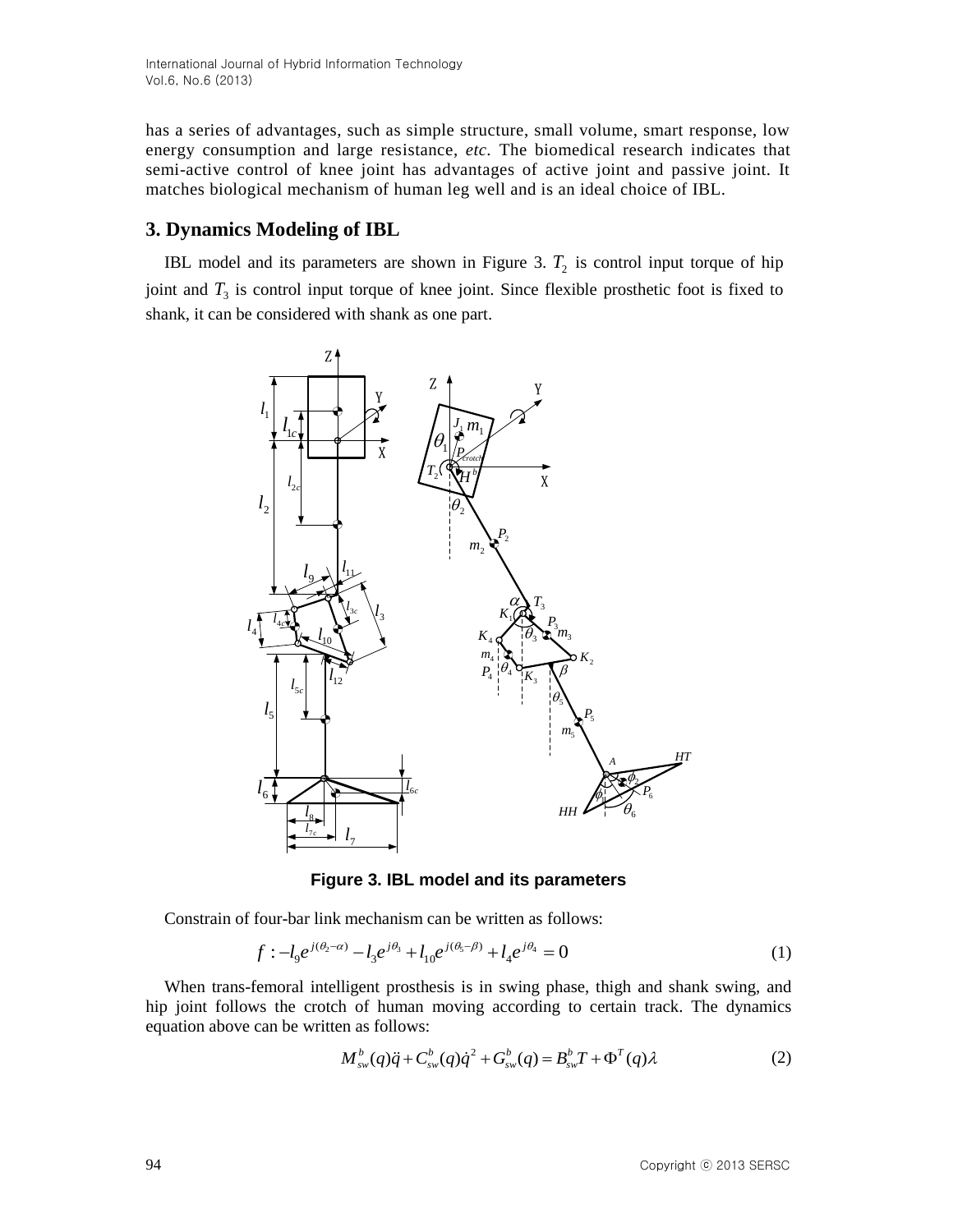has a series of advantages, such as simple structure, small volume, smart response, low energy consumption and large resistance, *etc.* The biomedical research indicates that semi-active control of knee joint has advantages of active joint and passive joint. It matches biological mechanism of human leg well and is an ideal choice of IBL.

# **3. Dynamics Modeling of IBL**

IBL model and its parameters are shown in Figure 3.  $T_2$  is control input torque of hip joint and  $T_3$  is control input torque of knee joint. Since flexible prosthetic foot is fixed to shank, it can be considered with shank as one part.



**Figure 3. IBL model and its parameters**

Constrain of four-bar link mechanism can be written as follows:

$$
f: -l_9 e^{j(\theta_2 - \alpha)} - l_3 e^{j\theta_3} + l_{10} e^{j(\theta_5 - \beta)} + l_4 e^{j\theta_4} = 0
$$
\n(1)

When trans-femoral intelligent prosthesis is in swing phase, thigh and shank swing, and hip joint follows the crotch of human moving according to certain track. The dynamics equation above can be written as follows:

$$
M_{\rm sw}^b(q)\ddot{q} + C_{\rm sw}^b(q)\dot{q}^2 + G_{\rm sw}^b(q) = B_{\rm sw}^b T + \Phi^T(q)\lambda
$$
 (2)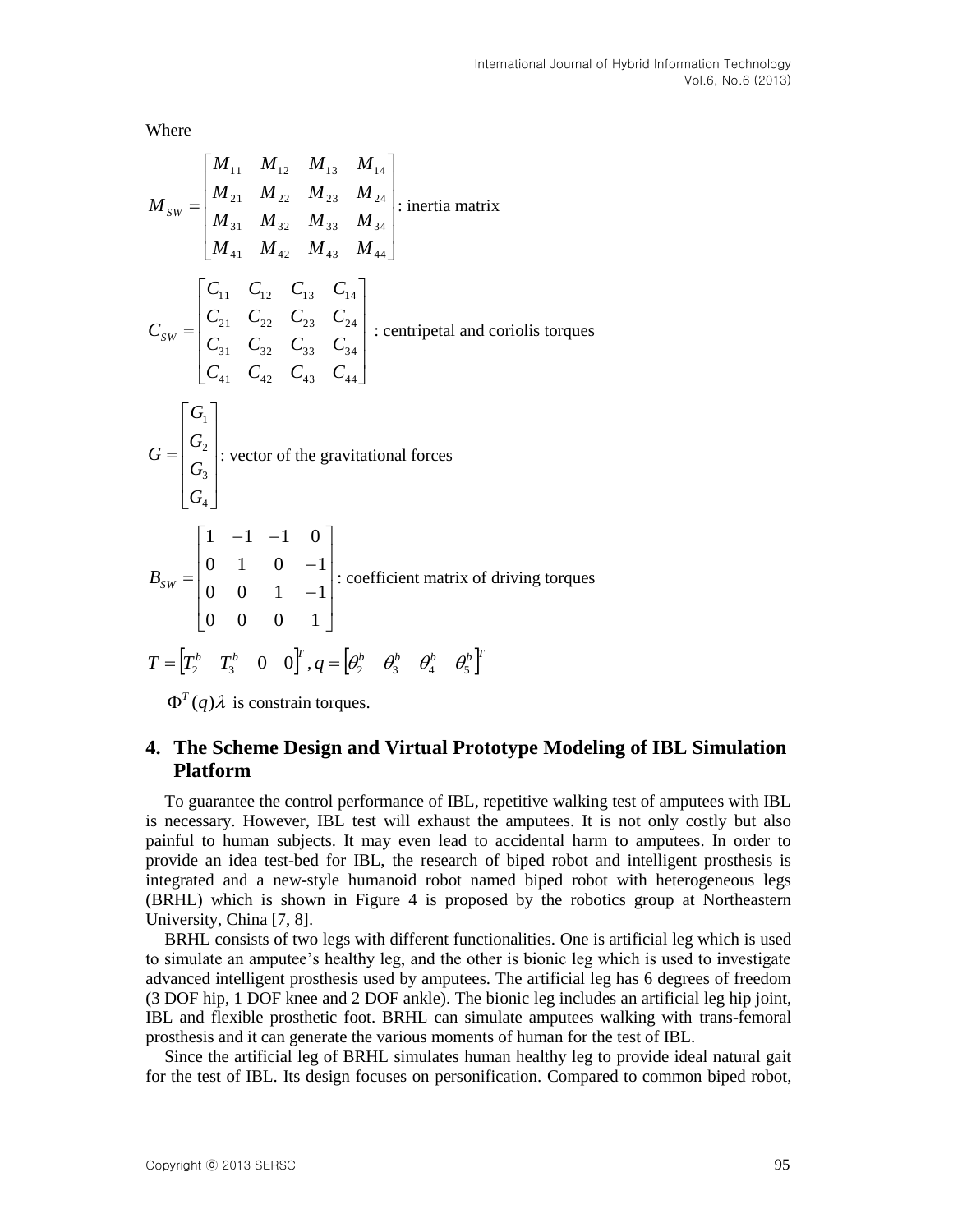Where

$$
M_{SW} = \begin{bmatrix} M_{11} & M_{12} & M_{13} & M_{14} \\ M_{21} & M_{22} & M_{23} & M_{24} \\ M_{31} & M_{32} & M_{33} & M_{34} \\ M_{41} & M_{42} & M_{43} & M_{44} \end{bmatrix} : \text{inertia matrix}
$$
  

$$
C_{SW} = \begin{bmatrix} C_{11} & C_{12} & C_{13} & C_{14} \\ C_{21} & C_{22} & C_{23} & C_{24} \\ C_{31} & C_{32} & C_{33} & C_{34} \\ C_{41} & C_{42} & C_{43} & C_{44} \end{bmatrix} : \text{centripetal and coriolis torques}
$$
  

$$
G = \begin{bmatrix} G_1 \\ G_2 \\ G_3 \\ G_4 \end{bmatrix} : \text{vector of the gravitational forces}
$$
  

$$
B_{SW} = \begin{bmatrix} 1 & -1 & -1 & 0 \\ 0 & 1 & 0 & -1 \\ 0 & 0 & 1 & -1 \\ 0 & 0 & 0 & 1 \end{bmatrix} : \text{coefficient matrix of driving torques}
$$
  

$$
T = \begin{bmatrix} T_2^b & T_3^b & 0 & 0 \end{bmatrix}^T, q = \begin{bmatrix} \theta_2^b & \theta_3^b & \theta_4^b & \theta_5^b \end{bmatrix}^T
$$

 $\Phi^{T}(q)\lambda$  is constrain torques.

# **4. The Scheme Design and Virtual Prototype Modeling of IBL Simulation Platform**

To guarantee the control performance of IBL, repetitive walking test of amputees with IBL is necessary. However, IBL test will exhaust the amputees. It is not only costly but also painful to human subjects. It may even lead to accidental harm to amputees. In order to provide an idea test-bed for IBL, the research of biped robot and intelligent prosthesis is integrated and a new-style humanoid robot named biped robot with heterogeneous legs (BRHL) which is shown in Figure 4 is proposed by the robotics group at Northeastern University, China [7, 8].

BRHL consists of two legs with different functionalities. One is artificial leg which is used to simulate an amputee's healthy leg, and the other is bionic leg which is used to investigate advanced intelligent prosthesis used by amputees. The artificial leg has 6 degrees of freedom (3 DOF hip, 1 DOF knee and 2 DOF ankle). The bionic leg includes an artificial leg hip joint, IBL and flexible prosthetic foot. BRHL can simulate amputees walking with trans-femoral prosthesis and it can generate the various moments of human for the test of IBL.

Since the artificial leg of BRHL simulates human healthy leg to provide ideal natural gait for the test of IBL. Its design focuses on personification. Compared to common biped robot,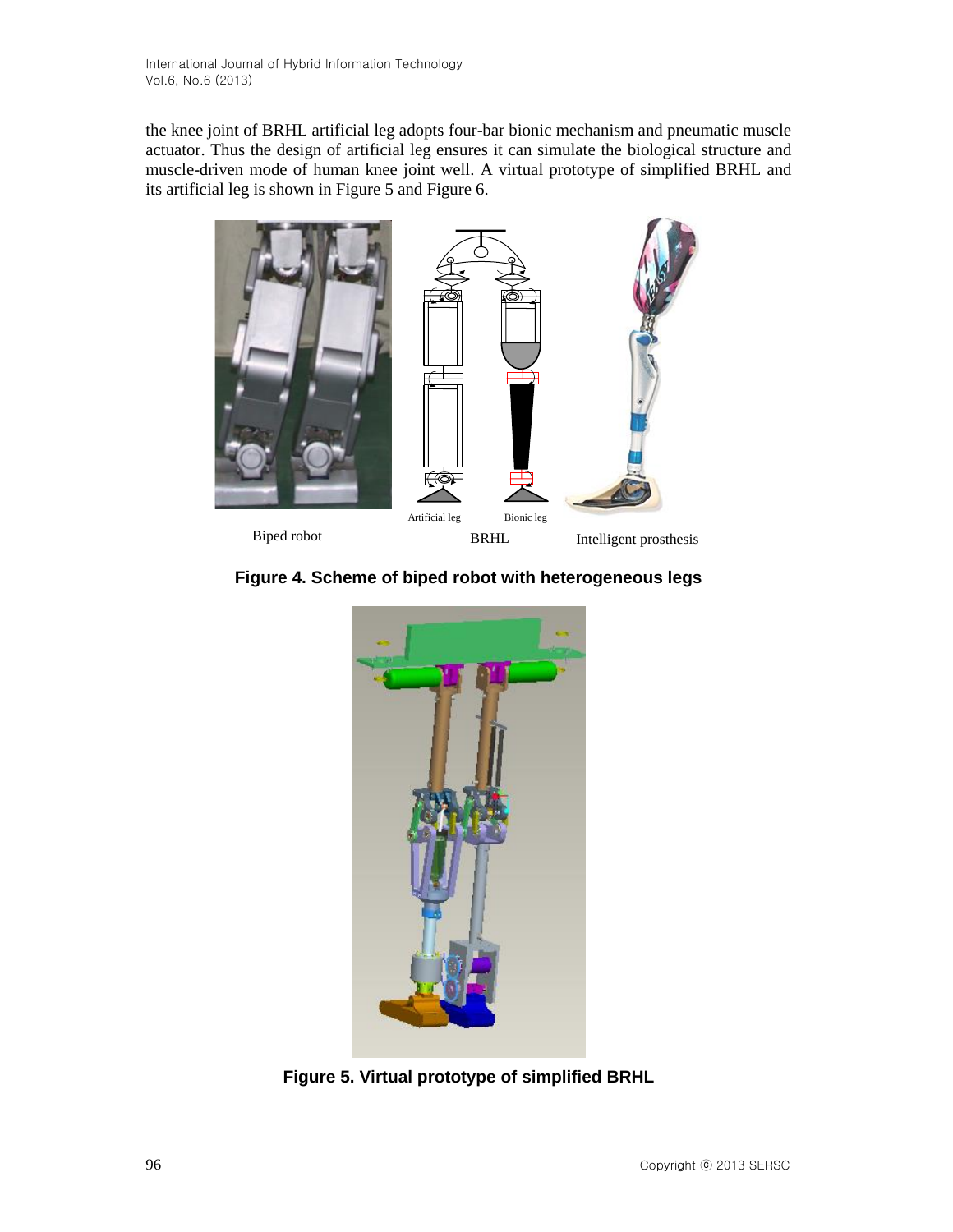the knee joint of BRHL artificial leg adopts four-bar bionic mechanism and pneumatic muscle actuator. Thus the design of artificial leg ensures it can simulate the biological structure and muscle-driven mode of human knee joint well. A virtual prototype of simplified BRHL and its artificial leg is shown in Figure 5 and Figure 6.



**Figure 4. Scheme of biped robot with heterogeneous legs**



**Figure 5. Virtual prototype of simplified BRHL**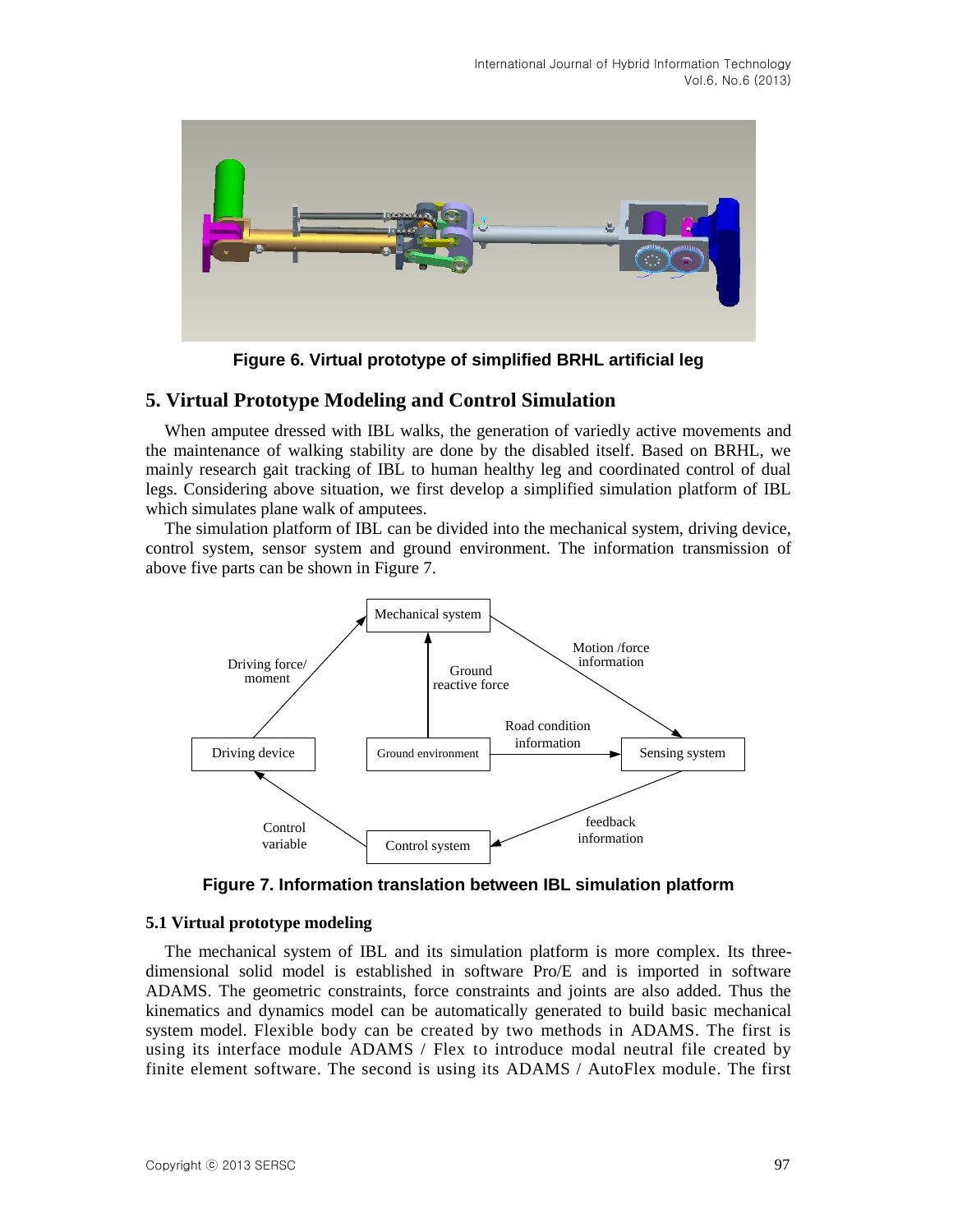

**Figure 6. Virtual prototype of simplified BRHL artificial leg**

# **5. Virtual Prototype Modeling and Control Simulation**

When amputee dressed with IBL walks, the generation of variedly active movements and the maintenance of walking stability are done by the disabled itself. Based on BRHL, we mainly research gait tracking of IBL to human healthy leg and coordinated control of dual legs. Considering above situation, we first develop a simplified simulation platform of IBL which simulates plane walk of amputees.

The simulation platform of IBL can be divided into the mechanical system, driving device, control system, sensor system and ground environment. The information transmission of above five parts can be shown in Figure 7.



**Figure 7. Information translation between IBL simulation platform**

#### **5.1 Virtual prototype modeling**

The mechanical system of IBL and its simulation platform is more complex. Its threedimensional solid model is established in software Pro/E and is imported in software ADAMS. The geometric constraints, force constraints and joints are also added. Thus the kinematics and dynamics model can be automatically generated to build basic mechanical system model. Flexible body can be created by two methods in ADAMS. The first is using its interface module ADAMS / Flex to introduce modal neutral file created by finite element software. The second is using its ADAMS / AutoFlex module. The first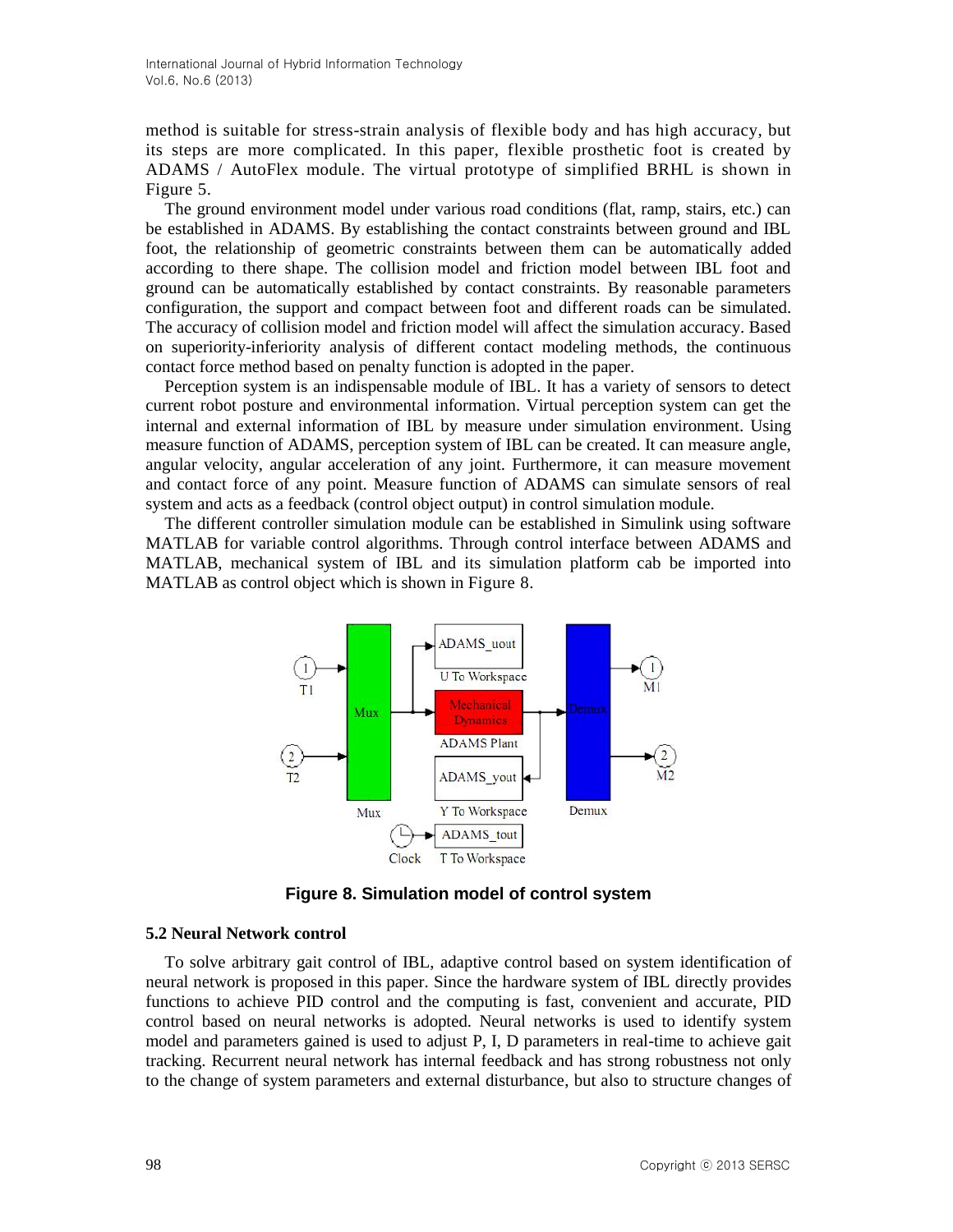method is suitable for stress-strain analysis of flexible body and has high accuracy, but its steps are more complicated. In this paper, flexible prosthetic foot is created by ADAMS / AutoFlex module. The virtual prototype of simplified BRHL is shown in Figure 5.

The ground environment model under various road conditions (flat, ramp, stairs, etc.) can be established in ADAMS. By establishing the contact constraints between ground and IBL foot, the relationship of geometric constraints between them can be automatically added according to there shape. The collision model and friction model between IBL foot and ground can be automatically established by contact constraints. By reasonable parameters configuration, the support and compact between foot and different roads can be simulated. The accuracy of collision model and friction model will affect the simulation accuracy. Based on superiority-inferiority analysis of different contact modeling methods, the continuous contact force method based on penalty function is adopted in the paper.

Perception system is an indispensable module of IBL. It has a variety of sensors to detect current robot posture and environmental information. Virtual perception system can get the internal and external information of IBL by measure under simulation environment. Using measure function of ADAMS, perception system of IBL can be created. It can measure angle, angular velocity, angular acceleration of any joint. Furthermore, it can measure movement and contact force of any point. Measure function of ADAMS can simulate sensors of real system and acts as a feedback (control object output) in control simulation module.

The different controller simulation module can be established in Simulink using software MATLAB for variable control algorithms. Through control interface between ADAMS and MATLAB, mechanical system of IBL and its simulation platform cab be imported into MATLAB as control object which is shown in Figure 8.



**Figure 8. Simulation model of control system**

#### **5.2 Neural Network control**

To solve arbitrary gait control of IBL, adaptive control based on system identification of neural network is proposed in this paper. Since the hardware system of IBL directly provides functions to achieve PID control and the computing is fast, convenient and accurate, PID control based on neural networks is adopted. Neural networks is used to identify system model and parameters gained is used to adjust P, I, D parameters in real-time to achieve gait tracking. Recurrent neural network has internal feedback and has strong robustness not only to the change of system parameters and external disturbance, but also to structure changes of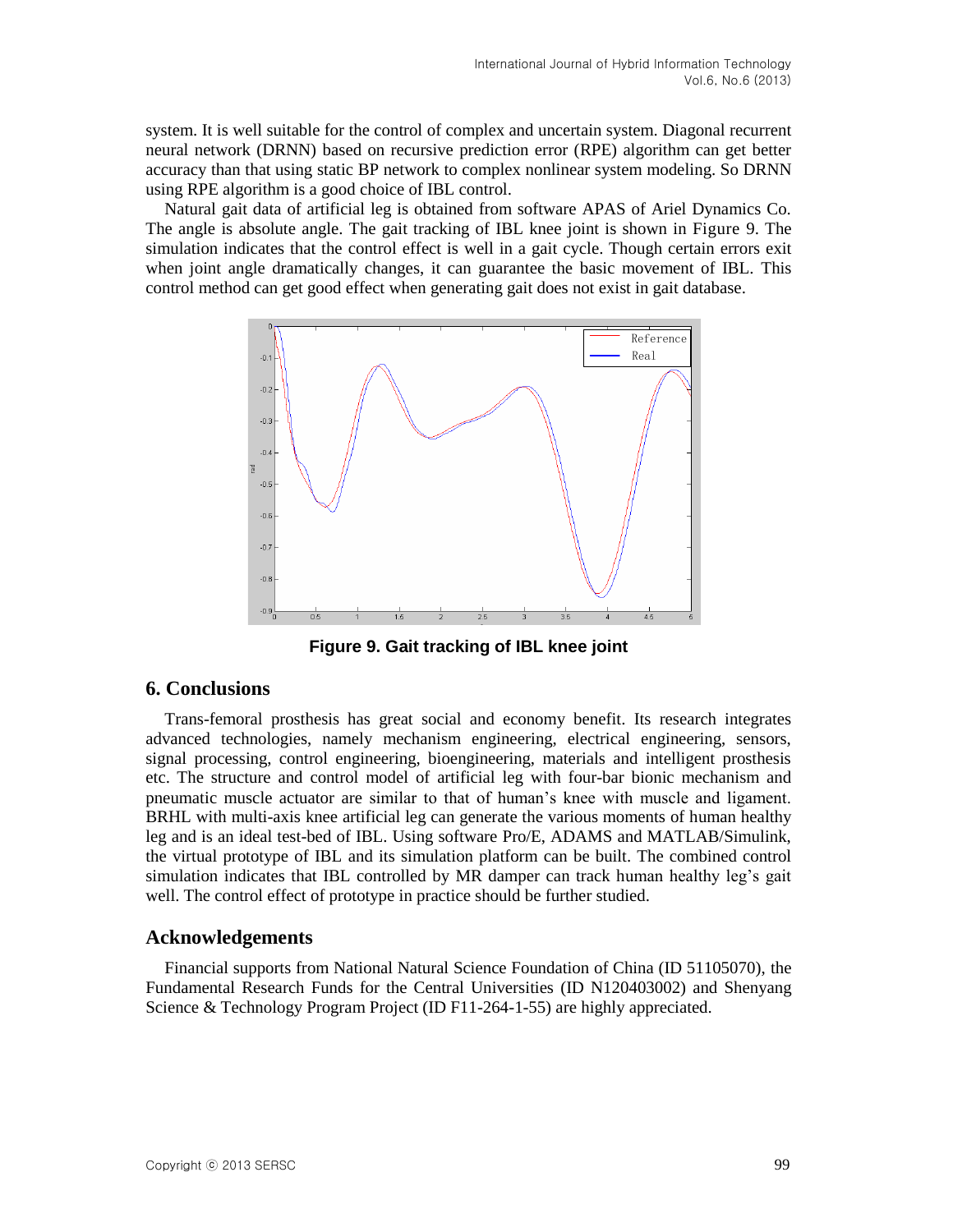system. It is well suitable for the control of complex and uncertain system. Diagonal recurrent neural network (DRNN) based on recursive prediction error (RPE) algorithm can get better accuracy than that using static BP network to complex nonlinear system modeling. So DRNN using RPE algorithm is a good choice of IBL control.

Natural gait data of artificial leg is obtained from software APAS of Ariel Dynamics Co. The angle is absolute angle. The gait tracking of IBL knee joint is shown in Figure 9. The simulation indicates that the control effect is well in a gait cycle. Though certain errors exit when joint angle dramatically changes, it can guarantee the basic movement of IBL. This control method can get good effect when generating gait does not exist in gait database.



**Figure 9. Gait tracking of IBL knee joint**

### **6. Conclusions**

Trans-femoral prosthesis has great social and economy benefit. Its research integrates advanced technologies, namely mechanism engineering, electrical engineering, sensors, signal processing, control engineering, bioengineering, materials and intelligent prosthesis etc. The structure and control model of artificial leg with four-bar bionic mechanism and pneumatic muscle actuator are similar to that of human's knee with muscle and ligament. BRHL with multi-axis knee artificial leg can generate the various moments of human healthy leg and is an ideal test-bed of IBL. Using software Pro/E, ADAMS and MATLAB/Simulink, the virtual prototype of IBL and its simulation platform can be built. The combined control simulation indicates that IBL controlled by MR damper can track human healthy leg's gait well. The control effect of prototype in practice should be further studied.

### **Acknowledgements**

Financial supports from National Natural Science Foundation of China (ID 51105070), the Fundamental Research Funds for the Central Universities (ID N120403002) and Shenyang Science & Technology Program Project (ID F11-264-1-55) are highly appreciated.